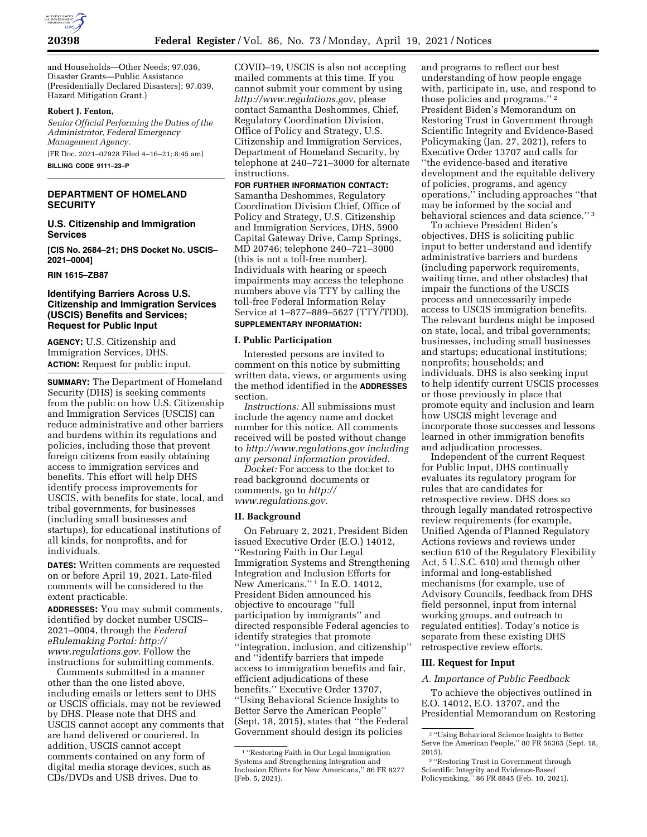

and Households—Other Needs; 97.036, Disaster Grants—Public Assistance (Presidentially Declared Disasters); 97.039, Hazard Mitigation Grant.)

#### **Robert J. Fenton,**

*Senior Official Performing the Duties of the Administrator, Federal Emergency Management Agency.*  [FR Doc. 2021–07928 Filed 4–16–21; 8:45 am]

**BILLING CODE 9111–23–P** 

### **DEPARTMENT OF HOMELAND SECURITY**

**U.S. Citizenship and Immigration Services** 

**[CIS No. 2684–21; DHS Docket No. USCIS– 2021–0004]** 

#### **RIN 1615–ZB87**

## **Identifying Barriers Across U.S. Citizenship and Immigration Services (USCIS) Benefits and Services; Request for Public Input**

**AGENCY:** U.S. Citizenship and Immigration Services, DHS. **ACTION:** Request for public input.

**SUMMARY:** The Department of Homeland Security (DHS) is seeking comments from the public on how U.S. Citizenship and Immigration Services (USCIS) can reduce administrative and other barriers and burdens within its regulations and policies, including those that prevent foreign citizens from easily obtaining access to immigration services and benefits. This effort will help DHS identify process improvements for USCIS, with benefits for state, local, and tribal governments, for businesses (including small businesses and startups), for educational institutions of all kinds, for nonprofits, and for individuals.

**DATES:** Written comments are requested on or before April 19, 2021. Late-filed comments will be considered to the extent practicable.

**ADDRESSES:** You may submit comments, identified by docket number USCIS– 2021–0004, through the *Federal eRulemaking Portal: [http://](http://www.regulations.gov) [www.regulations.gov.](http://www.regulations.gov)* Follow the instructions for submitting comments.

Comments submitted in a manner other than the one listed above, including emails or letters sent to DHS or USCIS officials, may not be reviewed by DHS. Please note that DHS and USCIS cannot accept any comments that are hand delivered or couriered. In addition, USCIS cannot accept comments contained on any form of digital media storage devices, such as CDs/DVDs and USB drives. Due to

COVID–19, USCIS is also not accepting mailed comments at this time. If you cannot submit your comment by using *[http://www.regulations.gov,](http://www.regulations.gov)* please contact Samantha Deshommes, Chief, Regulatory Coordination Division, Office of Policy and Strategy, U.S. Citizenship and Immigration Services, Department of Homeland Security, by telephone at 240–721–3000 for alternate instructions.

# **FOR FURTHER INFORMATION CONTACT:**

Samantha Deshommes, Regulatory Coordination Division Chief, Office of Policy and Strategy, U.S. Citizenship and Immigration Services, DHS, 5900 Capital Gateway Drive, Camp Springs, MD 20746; telephone 240–721–3000 (this is not a toll-free number). Individuals with hearing or speech impairments may access the telephone numbers above via TTY by calling the toll-free Federal Information Relay Service at 1–877–889–5627 (TTY/TDD). **SUPPLEMENTARY INFORMATION:** 

# **I. Public Participation**

Interested persons are invited to comment on this notice by submitting written data, views, or arguments using the method identified in the **ADDRESSES** section.

*Instructions:* All submissions must include the agency name and docket number for this notice. All comments received will be posted without change to *<http://www.regulations.gov>including any personal information provided.* 

*Docket:* For access to the docket to read background documents or comments, go to *[http://](http://www.regulations.gov) [www.regulations.gov.](http://www.regulations.gov)* 

#### **II. Background**

On February 2, 2021, President Biden issued Executive Order (E.O.) 14012, ''Restoring Faith in Our Legal Immigration Systems and Strengthening Integration and Inclusion Efforts for New Americans.'' 1 In E.O. 14012, President Biden announced his objective to encourage ''full participation by immigrants'' and directed responsible Federal agencies to identify strategies that promote ''integration, inclusion, and citizenship'' and ''identify barriers that impede access to immigration benefits and fair, efficient adjudications of these benefits.'' Executive Order 13707, ''Using Behavioral Science Insights to Better Serve the American People'' (Sept. 18, 2015), states that ''the Federal Government should design its policies

and programs to reflect our best understanding of how people engage with, participate in, use, and respond to those policies and programs.'' 2 President Biden's Memorandum on Restoring Trust in Government through Scientific Integrity and Evidence-Based Policymaking (Jan. 27, 2021), refers to Executive Order 13707 and calls for ''the evidence-based and iterative development and the equitable delivery of policies, programs, and agency operations,'' including approaches ''that may be informed by the social and behavioral sciences and data science.'' 3

To achieve President Biden's objectives, DHS is soliciting public input to better understand and identify administrative barriers and burdens (including paperwork requirements, waiting time, and other obstacles) that impair the functions of the USCIS process and unnecessarily impede access to USCIS immigration benefits. The relevant burdens might be imposed on state, local, and tribal governments; businesses, including small businesses and startups; educational institutions; nonprofits; households; and individuals. DHS is also seeking input to help identify current USCIS processes or those previously in place that promote equity and inclusion and learn how USCIS might leverage and incorporate those successes and lessons learned in other immigration benefits and adjudication processes.

Independent of the current Request for Public Input, DHS continually evaluates its regulatory program for rules that are candidates for retrospective review. DHS does so through legally mandated retrospective review requirements (for example, Unified Agenda of Planned Regulatory Actions reviews and reviews under section 610 of the Regulatory Flexibility Act, 5 U.S.C. 610) and through other informal and long-established mechanisms (for example, use of Advisory Councils, feedback from DHS field personnel, input from internal working groups, and outreach to regulated entities). Today's notice is separate from these existing DHS retrospective review efforts.

### **III. Request for Input**

## *A. Importance of Public Feedback*

To achieve the objectives outlined in E.O. 14012, E.O. 13707, and the Presidential Memorandum on Restoring

<sup>1</sup> ''Restoring Faith in Our Legal Immigration Systems and Strengthening Integration and Inclusion Efforts for New Americans,'' 86 FR 8277 (Feb. 5, 2021).

<sup>2</sup> ''Using Behavioral Science Insights to Better Serve the American People,'' 80 FR 56365 (Sept. 18, 2015).

<sup>3</sup> ''Restoring Trust in Government through Scientific Integrity and Evidence-Based Policymaking,'' 86 FR 8845 (Feb. 10, 2021).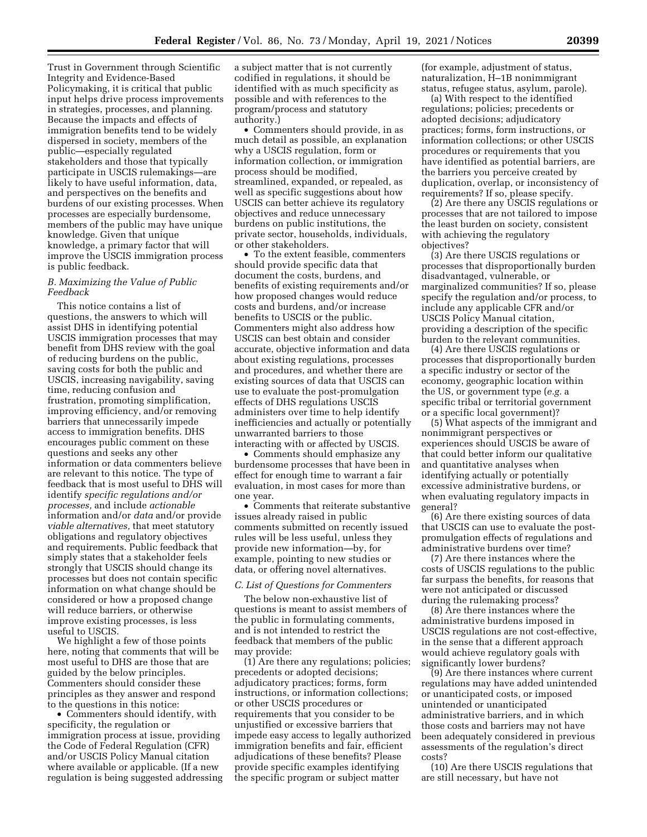Trust in Government through Scientific Integrity and Evidence-Based Policymaking, it is critical that public input helps drive process improvements in strategies, processes, and planning. Because the impacts and effects of immigration benefits tend to be widely dispersed in society, members of the public—especially regulated stakeholders and those that typically participate in USCIS rulemakings—are likely to have useful information, data, and perspectives on the benefits and burdens of our existing processes. When processes are especially burdensome, members of the public may have unique knowledge. Given that unique knowledge, a primary factor that will improve the USCIS immigration process is public feedback.

### *B. Maximizing the Value of Public Feedback*

This notice contains a list of questions, the answers to which will assist DHS in identifying potential USCIS immigration processes that may benefit from DHS review with the goal of reducing burdens on the public, saving costs for both the public and USCIS, increasing navigability, saving time, reducing confusion and frustration, promoting simplification, improving efficiency, and/or removing barriers that unnecessarily impede access to immigration benefits. DHS encourages public comment on these questions and seeks any other information or data commenters believe are relevant to this notice. The type of feedback that is most useful to DHS will identify *specific regulations and/or processes,* and include *actionable*  information and/or *data* and/or provide *viable alternatives,* that meet statutory obligations and regulatory objectives and requirements. Public feedback that simply states that a stakeholder feels strongly that USCIS should change its processes but does not contain specific information on what change should be considered or how a proposed change will reduce barriers, or otherwise improve existing processes, is less useful to USCIS.

We highlight a few of those points here, noting that comments that will be most useful to DHS are those that are guided by the below principles. Commenters should consider these principles as they answer and respond to the questions in this notice:

• Commenters should identify, with specificity, the regulation or immigration process at issue, providing the Code of Federal Regulation (CFR) and/or USCIS Policy Manual citation where available or applicable. (If a new regulation is being suggested addressing a subject matter that is not currently codified in regulations, it should be identified with as much specificity as possible and with references to the program/process and statutory authority.)

• Commenters should provide, in as much detail as possible, an explanation why a USCIS regulation, form or information collection, or immigration process should be modified, streamlined, expanded, or repealed, as well as specific suggestions about how USCIS can better achieve its regulatory objectives and reduce unnecessary burdens on public institutions, the private sector, households, individuals, or other stakeholders.

• To the extent feasible, commenters should provide specific data that document the costs, burdens, and benefits of existing requirements and/or how proposed changes would reduce costs and burdens, and/or increase benefits to USCIS or the public. Commenters might also address how USCIS can best obtain and consider accurate, objective information and data about existing regulations, processes and procedures, and whether there are existing sources of data that USCIS can use to evaluate the post-promulgation effects of DHS regulations USCIS administers over time to help identify inefficiencies and actually or potentially unwarranted barriers to those interacting with or affected by USCIS.

• Comments should emphasize any burdensome processes that have been in effect for enough time to warrant a fair evaluation, in most cases for more than one year.

• Comments that reiterate substantive issues already raised in public comments submitted on recently issued rules will be less useful, unless they provide new information—by, for example, pointing to new studies or data, or offering novel alternatives.

## *C. List of Questions for Commenters*

The below non-exhaustive list of questions is meant to assist members of the public in formulating comments, and is not intended to restrict the feedback that members of the public may provide:

(1) Are there any regulations; policies; precedents or adopted decisions; adjudicatory practices; forms, form instructions, or information collections; or other USCIS procedures or requirements that you consider to be unjustified or excessive barriers that impede easy access to legally authorized immigration benefits and fair, efficient adjudications of these benefits? Please provide specific examples identifying the specific program or subject matter

(for example, adjustment of status, naturalization, H–1B nonimmigrant status, refugee status, asylum, parole).

(a) With respect to the identified regulations; policies; precedents or adopted decisions; adjudicatory practices; forms, form instructions, or information collections; or other USCIS procedures or requirements that you have identified as potential barriers, are the barriers you perceive created by duplication, overlap, or inconsistency of requirements? If so, please specify.

(2) Are there any USCIS regulations or processes that are not tailored to impose the least burden on society, consistent with achieving the regulatory objectives?

(3) Are there USCIS regulations or processes that disproportionally burden disadvantaged, vulnerable, or marginalized communities? If so, please specify the regulation and/or process, to include any applicable CFR and/or USCIS Policy Manual citation, providing a description of the specific burden to the relevant communities.

(4) Are there USCIS regulations or processes that disproportionally burden a specific industry or sector of the economy, geographic location within the US, or government type (*e.g.* a specific tribal or territorial government or a specific local government)?

(5) What aspects of the immigrant and nonimmigrant perspectives or experiences should USCIS be aware of that could better inform our qualitative and quantitative analyses when identifying actually or potentially excessive administrative burdens, or when evaluating regulatory impacts in general?

(6) Are there existing sources of data that USCIS can use to evaluate the postpromulgation effects of regulations and administrative burdens over time?

(7) Are there instances where the costs of USCIS regulations to the public far surpass the benefits, for reasons that were not anticipated or discussed during the rulemaking process?

(8) Are there instances where the administrative burdens imposed in USCIS regulations are not cost-effective, in the sense that a different approach would achieve regulatory goals with significantly lower burdens?

(9) Are there instances where current regulations may have added unintended or unanticipated costs, or imposed unintended or unanticipated administrative barriers, and in which those costs and barriers may not have been adequately considered in previous assessments of the regulation's direct costs?

(10) Are there USCIS regulations that are still necessary, but have not